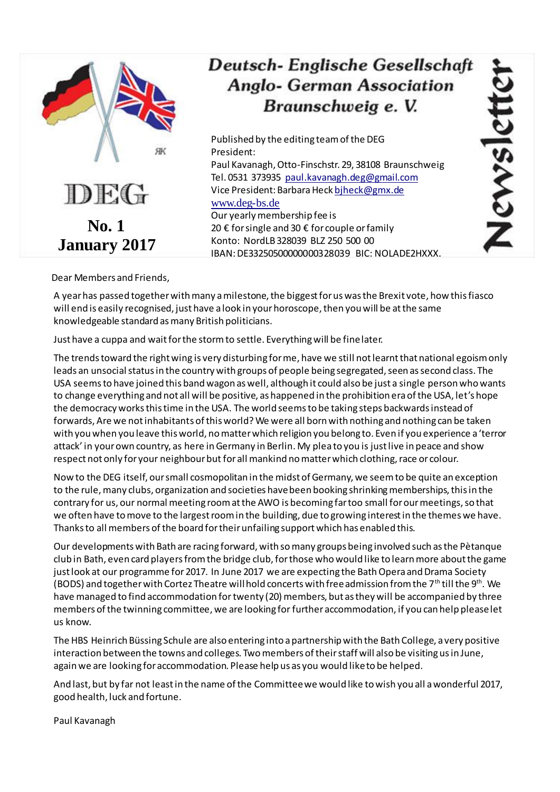

# Deutsch- Englische Gesellschaft **Anglo- German Association** Braunschweig e. V.

Published by the editing team of the DEG President: Paul Kavanagh, Otto-Finschstr. 29, 38108 Braunschweig Tel. 0531 373935 [paul.kavanagh.deg@gmail.com](mailto:paul.kavanagh.deg@gmail.com)

Vice President: Barbara Hec[k bjheck@gmx.de](mailto:bjheck@gmx.de)

### [www.deg-bs.de](http://www.deg-bs.de/)

Our yearly membership fee is 20 € for single and 30 € for couple or family Konto: NordLB 328039 BLZ 250 500 00 IBAN: DE33250500000000328039 BIC: NOLADE2HXXX. ISWSI

Dear Members and Friends,

A year has passed together with many a milestone, the biggest for us was the Brexit vote, how this fiasco will end is easily recognised, just have a look in your horoscope, then you will be at the same knowledgeable standard as many British politicians.

Just have a cuppa and wait for the storm to settle. Everything will be fine later.

The trends toward the right wing is very disturbing for me, have we still not learnt that national egoism only leads an unsocial status in the country with groups of people being segregated, seen as second class. The USA seems to have joined this band wagon as well, although it could also be just a single person who wants to change everything and not all will be positive, as happened in the prohibition era of the USA, let's hope the democracy works this time in the USA. The world seems to be taking steps backwards instead of forwards, Are we not inhabitants of this world? We were all born with nothing and nothing can be taken with you when you leave this world, no matter which religion you belong to. Even if you experience a 'terror attack' in your own country, as here inGermany in Berlin. My plea to you is just live in peace and show respect not only for your neighbour but for all mankind no matter which clothing, race or colour.

Now to the DEG itself, our small cosmopolitan in the midst of Germany, we seem to be quite an exception to the rule, many clubs, organization and societies have been booking shrinking memberships, this in the contrary for us, our normal meeting room at the AWO is becoming far too small for our meetings, so that we often have to move to the largest room in the building, due to growing interest in the themes we have. Thanks to all members of the board for their unfailing support which has enabled this.

Our developments with Bath are racing forward, with so many groups being involved such as the Pètanque club in Bath, even card players from the bridge club, for those who would like to learn more about the game just look at our programme for 2017. In June 2017 we are expecting the Bath Opera and Drama Society (BODS) and together with Cortez Theatre will hold concerts with free admission from the 7th till the 9th. We have managed to find accommodation for twenty (20) members, but as they will be accompanied by three members of the twinning committee, we are looking for further accommodation, if you can help please let us know.

The HBS Heinrich Büssing Schule are also entering into a partnership with the Bath College, a very positive interaction between the towns and colleges. Two members of their staff will also be visiting us in June, again we are looking for accommodation. Please help us as you would like to be helped.

And last, but by far not least in the name of the Committee we would like to wish you all a wonderful 2017, good health, luck and fortune.

Paul Kavanagh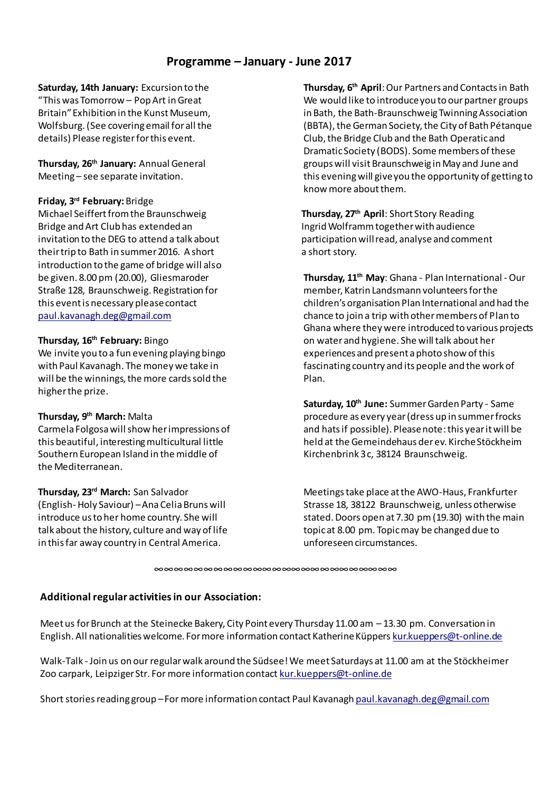# **Programme – January - June 2017**

**Saturday, 14th January:** Excursion to the "This was Tomorrow – Pop Art in Great Britain" Exhibition in the Kunst Museum, Wolfsburg. (See covering email for all the details) Please register for this event.

**Thursday, 26th January:** Annual General Meeting – see separate invitation.

#### **Friday, 3rd February:**Bridge

Michael Seiffert from the Braunschweig Bridge and Art Club has extended an invitation to the DEG to attend a talk about their trip to Bath in summer 2016. A short introduction to the game of bridge will also be given. 8.00 pm (20.00), Gliesmaroder Straße 128, Braunschweig. Registration for this event is necessary please contact [paul.kavanagh.deg@gmail.com](mailto:paul.kavanagh.deg@gmail.com)

#### **Thursday, 16th February:** Bingo

We invite you to a fun evening playing bingo with Paul Kavanagh. The money we take in will be the winnings, the more cards sold the higher the prize.

#### **Thursday, 9th March:** Malta

Carmela Folgosa will show her impressions of this beautiful, interesting multicultural little Southern European Island in the middle of the Mediterranean.

#### **Thursday, 23rd March:** San Salvador

(English- Holy Saviour) –Ana Celia Bruns will introduce us to her home country. She will talk about the history, culture and way of life in this far away country in Central America.

**Thursday, 6th April**: Our Partners and Contacts in Bath We would like to introduce you to our partner groups in Bath, the Bath-Braunschweig Twinning Association (BBTA), the German Society, the City of Bath Pétanque Club, the Bridge Club and the Bath Operatic and Dramatic Society (BODS). Some members of these groups will visit Braunschweig in May and June and this evening will give you the opportunity of getting to know more about them.

**Thursday, 27th April**: Short Story Reading Ingrid Wolframm together with audience participation will read, analyse and comment a short story.

**Thursday, 11th May**: Ghana - Plan International -Our member, Katrin Landsmann volunteers for the children's organisation Plan International and had the chance to join a trip with other members of Plan to Ghana where they were introduced to various projects on water and hygiene. She will talk about her experiences and present a photo show of this fascinating country and its people and the work of Plan.

**Saturday, 10th June:** Summer Garden Party - Same procedure as every year (dress up in summer frocks and hats if possible). Please note:this year it will be held at the Gemeindehaus der ev. Kirche Stöckheim Kirchenbrink 3 c, 38124 Braunschweig.

Meetings take place at the AWO-Haus, Frankfurter Strasse 18, 38122 Braunschweig, unless otherwise stated. Doors open at 7.30 pm(19.30) with the main topic at 8.00 pm. Topic may be changed due to unforeseen circumstances.

∞∞∞∞∞∞∞∞∞∞∞∞∞∞∞∞∞∞∞∞∞∞∞∞∞

## **Additional regular activities in our Association:**

Meet us for Brunch at the Steinecke Bakery, City Point every Thursday 11.00 am – 13.30 pm. Conversation in English. All nationalities welcome. For more information contact Katherine Küpper[s kur.kueppers@t-online.de](mailto:kur.kueppers@t-online.de)

Walk-Talk - Join us on our regular walk around the Südsee! We meet Saturdays at 11.00 am at the Stöckheimer Zoo carpark, Leipziger Str. For more information contac[t kur.kueppers@t-online.de](mailto:kur.kueppers@t-online.de)

Short stories reading group –For more information contact Paul Kavanagh [paul.kavanagh.deg@gmail.com](mailto:paul.kavanagh.deg@gmail.com)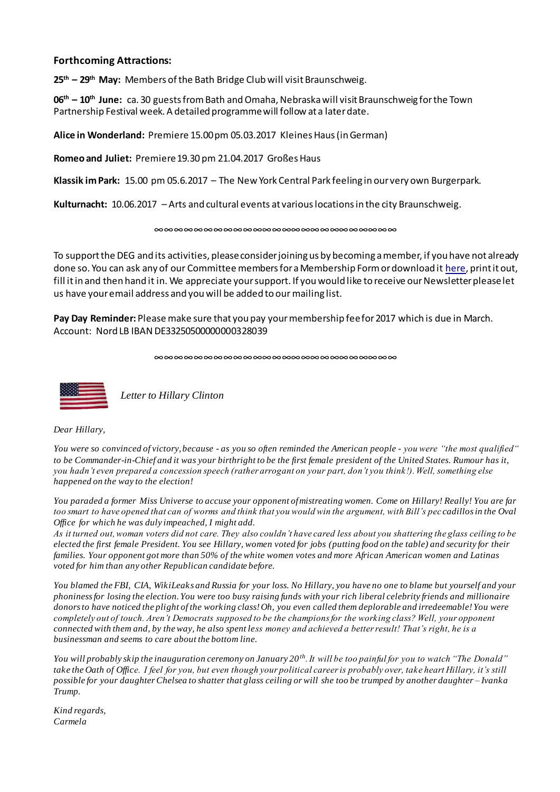#### **Forthcoming Attractions:**

**25th – 29th May:** Members of the Bath Bridge Club will visit Braunschweig.

**06 th – 10th June:** ca. 30 guests from Bath and Omaha, Nebraska will visit Braunschweig for the Town Partnership Festival week. A detailed programme will follow at a later date.

**Alice in Wonderland:** Premiere 15.00 pm 05.03.2017 Kleines Haus (in German)

**Romeo and Juliet:** Premiere 19.30 pm 21.04.2017 Großes Haus

**Klassik im Park:** 15.00 pm 05.6.2017 – The New York Central Park feeling in our very own Burgerpark.

**Kulturnacht:** 10.06.2017 – Arts and cultural events at various locations in the city Braunschweig.

∞∞∞∞∞∞∞∞∞∞∞∞∞∞∞∞∞∞∞∞∞∞∞∞∞

To support the DEG and its activities, please consider joining us by becoming a member, if you have not already done so. You can ask any of our Committee members for a Membership Form or download i[t here](http://www.deg-bs.de/deutsch/mitgliedschaft/), print it out, fill itin and then hand it in. We appreciate your support. If you would like to receive our Newsletter please let us have your email address and you will be added to our mailing list.

**Pay Day Reminder:** Please make sure that you pay your membership fee for 2017 which is due in March. Account: Nord LB IBAN DE33250500000000328039

∞∞∞∞∞∞∞∞∞∞∞∞∞∞∞∞∞∞∞∞∞∞∞∞∞



*Letter to Hillary Clinton*

*Dear Hillary,*

*You were so convinced of victory, because - as you so often reminded the American people - you were "the most qualified" to be Commander-in-Chief and it was your birthright to be the first female president of the United States. Rumour has it, you hadn't even prepared a concession speech (rather arrogant on your part, don't you think!). Well, something else happened on the way to the election!* 

*You paraded a former Miss Universe to accuse your opponent of mistreating women. Come on Hillary! Really! You are far too smart to have opened that can of worms and think that you would win the argument, with Bill's pec cadillos in the Oval Office for which he was duly impeached, I might add.*

*As it turned out, woman voters did not care. They also couldn't have cared less about you shattering the glass ceiling to be elected the first female President. You see Hillary, women voted for jobs (putting food on the table) and security for their families. Your opponent got more than 50% of the white women votes and more African American women and Latinas voted for him than any other Republican candidate before.*

*You blamed the FBI, CIA, WikiLeaks and Russia for your loss. No Hillary, you have no one to blame but yourself and your phoniness for losing the election. You were too busy raising funds with your rich liberal celebrity friends and millionaire donors to have noticed the plight of the working class! Oh, you even called them deplorable and irredeemable! You were completely out of touch. Aren't Democrats supposed to be the champions for the working class? Well, your opponent connected with them and, by the way, he also spent less money and achieved a better result! That's right, he is a businessman and seems to care about the bottom line.*

*You will probably skip the inauguration ceremony on January 20th. It will be too painful for you to watch "The Donald" take the Oath of Office. I feel for you, but even though your political career is probably over, take heart Hillary, it's still possible for your daughter Chelsea to shatter that glass ceiling or will she too be trumped by another daughter – Ivanka Trump.*

*Kind regards, Carmela*